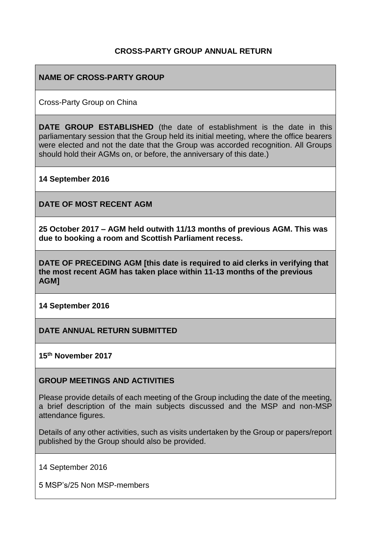## **CROSS-PARTY GROUP ANNUAL RETURN**

### **NAME OF CROSS-PARTY GROUP**

Cross-Party Group on China

**DATE GROUP ESTABLISHED** (the date of establishment is the date in this parliamentary session that the Group held its initial meeting, where the office bearers were elected and not the date that the Group was accorded recognition. All Groups should hold their AGMs on, or before, the anniversary of this date.)

#### **14 September 2016**

**DATE OF MOST RECENT AGM**

**25 October 2017 – AGM held outwith 11/13 months of previous AGM. This was due to booking a room and Scottish Parliament recess.**

**DATE OF PRECEDING AGM [this date is required to aid clerks in verifying that the most recent AGM has taken place within 11-13 months of the previous AGM]**

**14 September 2016**

### **DATE ANNUAL RETURN SUBMITTED**

**15th November 2017**

### **GROUP MEETINGS AND ACTIVITIES**

Please provide details of each meeting of the Group including the date of the meeting, a brief description of the main subjects discussed and the MSP and non-MSP attendance figures.

Details of any other activities, such as visits undertaken by the Group or papers/report published by the Group should also be provided.

14 September 2016

5 MSP's/25 Non MSP-members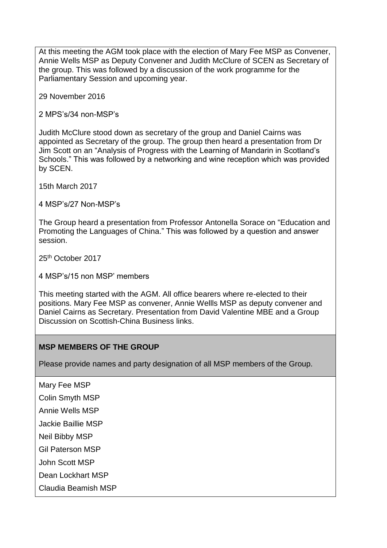At this meeting the AGM took place with the election of Mary Fee MSP as Convener, Annie Wells MSP as Deputy Convener and Judith McClure of SCEN as Secretary of the group. This was followed by a discussion of the work programme for the Parliamentary Session and upcoming year.

29 November 2016

2 MPS's/34 non-MSP's

Judith McClure stood down as secretary of the group and Daniel Cairns was appointed as Secretary of the group. The group then heard a presentation from Dr Jim Scott on an "Analysis of Progress with the Learning of Mandarin in Scotland's Schools." This was followed by a networking and wine reception which was provided by SCEN.

15th March 2017

4 MSP's/27 Non-MSP's

The Group heard a presentation from Professor Antonella Sorace on "Education and Promoting the Languages of China." This was followed by a question and answer session.

25th October 2017

4 MSP's/15 non MSP' members

This meeting started with the AGM. All office bearers where re-elected to their positions. Mary Fee MSP as convener, Annie Wellls MSP as deputy convener and Daniel Cairns as Secretary. Presentation from David Valentine MBE and a Group Discussion on Scottish-China Business links.

### **MSP MEMBERS OF THE GROUP**

Please provide names and party designation of all MSP members of the Group.

Mary Fee MSP Colin Smyth MSP Annie Wells MSP Jackie Baillie MSP Neil Bibby MSP Gil Paterson MSP John Scott MSP Dean Lockhart MSP Claudia Beamish MSP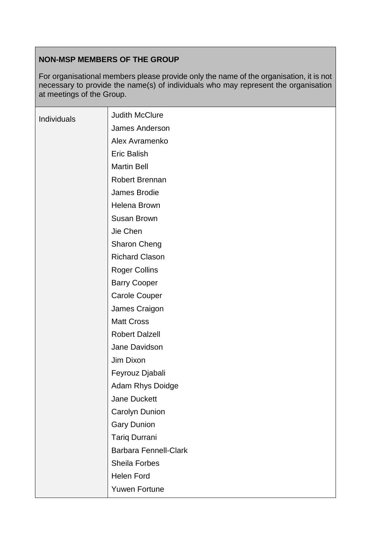## **NON-MSP MEMBERS OF THE GROUP**

For organisational members please provide only the name of the organisation, it is not necessary to provide the name(s) of individuals who may represent the organisation at meetings of the Group.

| Individuals | <b>Judith McClure</b>        |
|-------------|------------------------------|
|             | James Anderson               |
|             | Alex Avramenko               |
|             | <b>Eric Balish</b>           |
|             | <b>Martin Bell</b>           |
|             | Robert Brennan               |
|             | James Brodie                 |
|             | Helena Brown                 |
|             | Susan Brown                  |
|             | Jie Chen                     |
|             | <b>Sharon Cheng</b>          |
|             | <b>Richard Clason</b>        |
|             | <b>Roger Collins</b>         |
|             | <b>Barry Cooper</b>          |
|             | <b>Carole Couper</b>         |
|             | James Craigon                |
|             | <b>Matt Cross</b>            |
|             | <b>Robert Dalzell</b>        |
|             | Jane Davidson                |
|             | Jim Dixon                    |
|             | Feyrouz Djabali              |
|             | Adam Rhys Doidge             |
|             | Jane Duckett                 |
|             | Carolyn Dunion               |
|             | <b>Gary Dunion</b>           |
|             | Tariq Durrani                |
|             | <b>Barbara Fennell-Clark</b> |
|             | Sheila Forbes                |
|             | <b>Helen Ford</b>            |
|             | <b>Yuwen Fortune</b>         |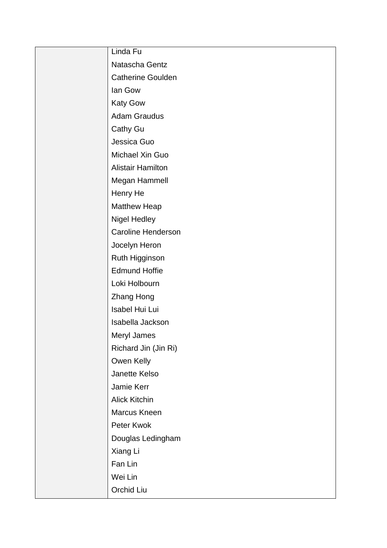| Linda Fu                  |
|---------------------------|
| Natascha Gentz            |
| <b>Catherine Goulden</b>  |
| lan Gow                   |
| <b>Katy Gow</b>           |
| <b>Adam Graudus</b>       |
| Cathy Gu                  |
| Jessica Guo               |
| Michael Xin Guo           |
| <b>Alistair Hamilton</b>  |
| Megan Hammell             |
| Henry He                  |
| <b>Matthew Heap</b>       |
| <b>Nigel Hedley</b>       |
| <b>Caroline Henderson</b> |
| Jocelyn Heron             |
| Ruth Higginson            |
| <b>Edmund Hoffie</b>      |
| Loki Holbourn             |
| <b>Zhang Hong</b>         |
| Isabel Hui Lui            |
| Isabella Jackson          |
| Meryl James               |
| Richard Jin (Jin Ri)      |
| Owen Kelly                |
| Janette Kelso             |
| Jamie Kerr                |
| <b>Alick Kitchin</b>      |
| Marcus Kneen              |
| Peter Kwok                |
| Douglas Ledingham         |
| Xiang Li                  |
| Fan Lin                   |
| Wei Lin                   |
| Orchid Liu                |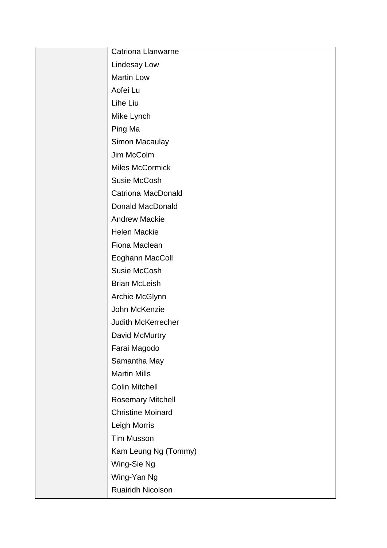| Catriona Llanwarne        |
|---------------------------|
| Lindesay Low              |
| <b>Martin Low</b>         |
| Aofei Lu                  |
| Lihe Liu                  |
| Mike Lynch                |
| Ping Ma                   |
| Simon Macaulay            |
| Jim McColm                |
| <b>Miles McCormick</b>    |
| Susie McCosh              |
| <b>Catriona MacDonald</b> |
| <b>Donald MacDonald</b>   |
| <b>Andrew Mackie</b>      |
| <b>Helen Mackie</b>       |
| Fiona Maclean             |
| Eoghann MacColl           |
| Susie McCosh              |
| <b>Brian McLeish</b>      |
| Archie McGlynn            |
| John McKenzie             |
| Judith McKerrecher        |
| David McMurtry            |
| Farai Magodo              |
| Samantha May              |
| <b>Martin Mills</b>       |
| Colin Mitchell            |
| <b>Rosemary Mitchell</b>  |
| <b>Christine Moinard</b>  |
| Leigh Morris              |
| <b>Tim Musson</b>         |
| Kam Leung Ng (Tommy)      |
| Wing-Sie Ng               |
| Wing-Yan Ng               |
| Ruairidh Nicolson         |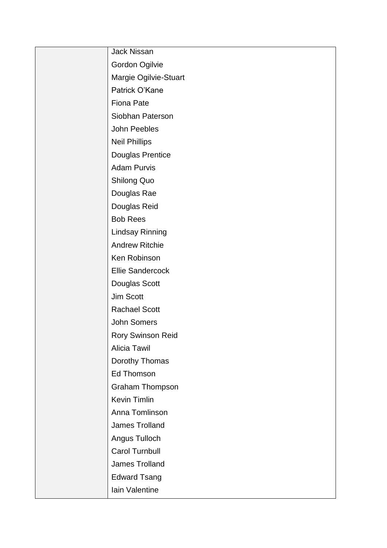| <b>Jack Nissan</b>       |
|--------------------------|
| Gordon Ogilvie           |
| Margie Ogilvie-Stuart    |
| Patrick O'Kane           |
| Fiona Pate               |
| Siobhan Paterson         |
| John Peebles             |
| <b>Neil Phillips</b>     |
| Douglas Prentice         |
| <b>Adam Purvis</b>       |
| <b>Shilong Quo</b>       |
| Douglas Rae              |
| Douglas Reid             |
| <b>Bob Rees</b>          |
| <b>Lindsay Rinning</b>   |
| <b>Andrew Ritchie</b>    |
| Ken Robinson             |
| <b>Ellie Sandercock</b>  |
| Douglas Scott            |
| Jim Scott                |
| <b>Rachael Scott</b>     |
| <b>John Somers</b>       |
| <b>Rory Swinson Reid</b> |
| <b>Alicia Tawil</b>      |
| Dorothy Thomas           |
| <b>Ed Thomson</b>        |
| Graham Thompson          |
| Kevin Timlin             |
| Anna Tomlinson           |
| James Trolland           |
| Angus Tulloch            |
| <b>Carol Turnbull</b>    |
| James Trolland           |
| <b>Edward Tsang</b>      |
| Iain Valentine           |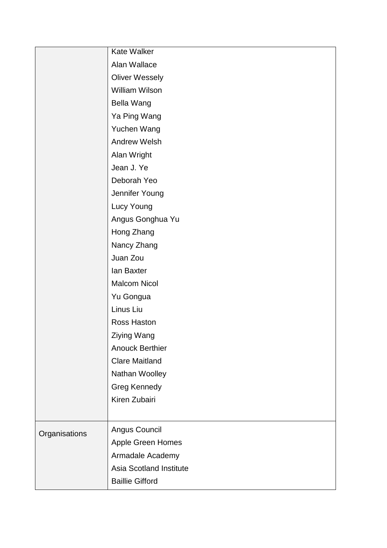|               | Kate Walker                    |
|---------------|--------------------------------|
|               | Alan Wallace                   |
|               | <b>Oliver Wessely</b>          |
|               | <b>William Wilson</b>          |
|               | Bella Wang                     |
|               | Ya Ping Wang                   |
|               | Yuchen Wang                    |
|               | <b>Andrew Welsh</b>            |
|               | Alan Wright                    |
|               | Jean J. Ye                     |
|               | Deborah Yeo                    |
|               | Jennifer Young                 |
|               | Lucy Young                     |
|               | Angus Gonghua Yu               |
|               | Hong Zhang                     |
|               | Nancy Zhang                    |
|               | Juan Zou                       |
|               | lan Baxter                     |
|               | <b>Malcom Nicol</b>            |
|               | Yu Gongua                      |
|               | Linus Liu                      |
|               | Ross Haston                    |
|               | Ziying Wang                    |
|               | <b>Anouck Berthier</b>         |
|               | <b>Clare Maitland</b>          |
|               | Nathan Woolley                 |
|               | <b>Greg Kennedy</b>            |
|               | Kiren Zubairi                  |
|               |                                |
| Organisations | Angus Council                  |
|               | Apple Green Homes              |
|               | Armadale Academy               |
|               | <b>Asia Scotland Institute</b> |
|               | <b>Baillie Gifford</b>         |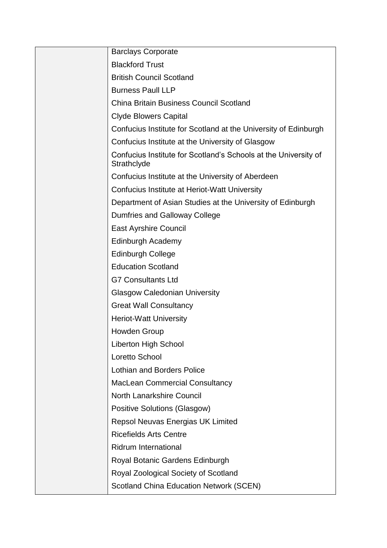| <b>Barclays Corporate</b>                                                      |
|--------------------------------------------------------------------------------|
| <b>Blackford Trust</b>                                                         |
| <b>British Council Scotland</b>                                                |
| <b>Burness Paull LLP</b>                                                       |
| <b>China Britain Business Council Scotland</b>                                 |
| <b>Clyde Blowers Capital</b>                                                   |
| Confucius Institute for Scotland at the University of Edinburgh                |
| Confucius Institute at the University of Glasgow                               |
| Confucius Institute for Scotland's Schools at the University of<br>Strathclyde |
| Confucius Institute at the University of Aberdeen                              |
| Confucius Institute at Heriot-Watt University                                  |
| Department of Asian Studies at the University of Edinburgh                     |
| <b>Dumfries and Galloway College</b>                                           |
| <b>East Ayrshire Council</b>                                                   |
| Edinburgh Academy                                                              |
| <b>Edinburgh College</b>                                                       |
| <b>Education Scotland</b>                                                      |
| <b>G7 Consultants Ltd</b>                                                      |
| <b>Glasgow Caledonian University</b>                                           |
| <b>Great Wall Consultancy</b>                                                  |
| <b>Heriot-Watt University</b>                                                  |
| Howden Group                                                                   |
| <b>Liberton High School</b>                                                    |
| Loretto School                                                                 |
| <b>Lothian and Borders Police</b>                                              |
| <b>MacLean Commercial Consultancy</b>                                          |
| North Lanarkshire Council                                                      |
| <b>Positive Solutions (Glasgow)</b>                                            |
| Repsol Neuvas Energias UK Limited                                              |
| <b>Ricefields Arts Centre</b>                                                  |
| <b>Ridrum International</b>                                                    |
| Royal Botanic Gardens Edinburgh                                                |
| Royal Zoological Society of Scotland                                           |
| <b>Scotland China Education Network (SCEN)</b>                                 |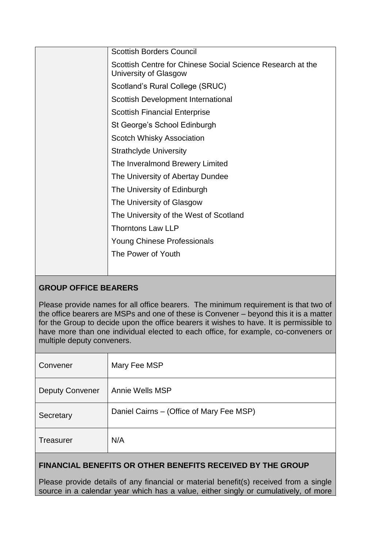| <b>Scottish Borders Council</b>                                                     |
|-------------------------------------------------------------------------------------|
| Scottish Centre for Chinese Social Science Research at the<br>University of Glasgow |
| Scotland's Rural College (SRUC)                                                     |
| Scottish Development International                                                  |
| <b>Scottish Financial Enterprise</b>                                                |
| St George's School Edinburgh                                                        |
| Scotch Whisky Association                                                           |
| <b>Strathclyde University</b>                                                       |
| The Inveralmond Brewery Limited                                                     |
| The University of Abertay Dundee                                                    |
| The University of Edinburgh                                                         |
| The University of Glasgow                                                           |
| The University of the West of Scotland                                              |
| <b>Thorntons Law LLP</b>                                                            |
| <b>Young Chinese Professionals</b>                                                  |
| The Power of Youth                                                                  |
|                                                                                     |

# **GROUP OFFICE BEARERS**

Please provide names for all office bearers. The minimum requirement is that two of the office bearers are MSPs and one of these is Convener – beyond this it is a matter for the Group to decide upon the office bearers it wishes to have. It is permissible to have more than one individual elected to each office, for example, co-conveners or multiple deputy conveners.

| Convener               | Mary Fee MSP                             |
|------------------------|------------------------------------------|
| <b>Deputy Convener</b> | Annie Wells MSP                          |
| Secretary              | Daniel Cairns – (Office of Mary Fee MSP) |
| <b>Treasurer</b>       | N/A                                      |

# **FINANCIAL BENEFITS OR OTHER BENEFITS RECEIVED BY THE GROUP**

Please provide details of any financial or material benefit(s) received from a single source in a calendar year which has a value, either singly or cumulatively, of more